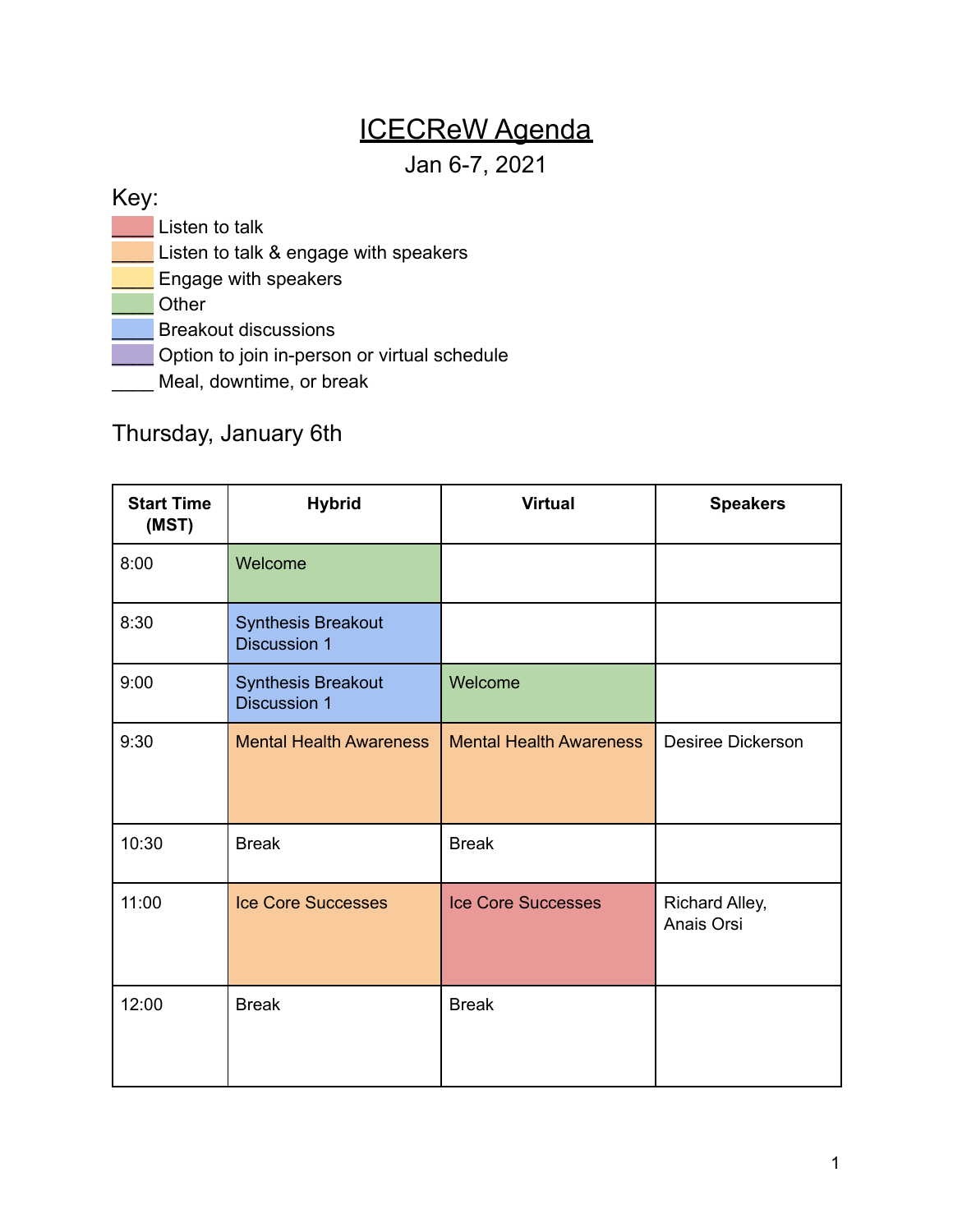## ICECReW Agenda

Jan 6-7, 2021

## Key:

**Listen to talk** 

- Listen to talk & engage with speakers
- Engage with speakers

\_\_\_\_ Other

Breakout discussions

**Lat** Option to join in-person or virtual schedule

Meal, downtime, or break

## Thursday, January 6th

| <b>Start Time</b><br>(MST) | <b>Hybrid</b>                                    | <b>Virtual</b>                 | <b>Speakers</b>              |
|----------------------------|--------------------------------------------------|--------------------------------|------------------------------|
| 8:00                       | Welcome                                          |                                |                              |
| 8:30                       | <b>Synthesis Breakout</b><br><b>Discussion 1</b> |                                |                              |
| 9:00                       | <b>Synthesis Breakout</b><br><b>Discussion 1</b> | Welcome                        |                              |
| 9:30                       | <b>Mental Health Awareness</b>                   | <b>Mental Health Awareness</b> | Desiree Dickerson            |
| 10:30                      | <b>Break</b>                                     | <b>Break</b>                   |                              |
| 11:00                      | <b>Ice Core Successes</b>                        | <b>Ice Core Successes</b>      | Richard Alley,<br>Anais Orsi |
| 12:00                      | <b>Break</b>                                     | <b>Break</b>                   |                              |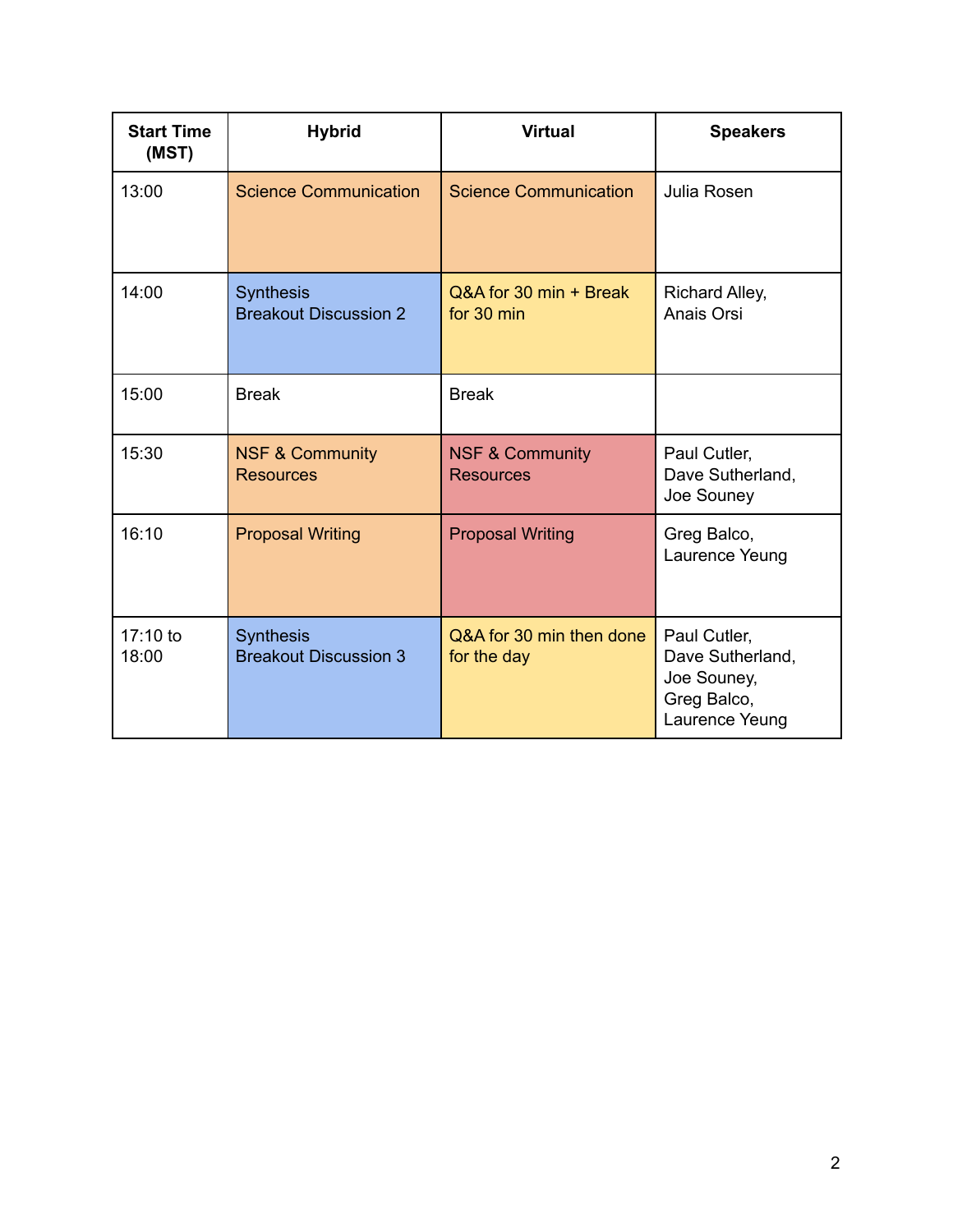| <b>Start Time</b><br>(MST) | <b>Hybrid</b>                                    | <b>Virtual</b>                                 | <b>Speakers</b>                                                                  |
|----------------------------|--------------------------------------------------|------------------------------------------------|----------------------------------------------------------------------------------|
| 13:00                      | <b>Science Communication</b>                     | <b>Science Communication</b>                   | Julia Rosen                                                                      |
| 14:00                      | <b>Synthesis</b><br><b>Breakout Discussion 2</b> | Q&A for 30 min + Break<br>for 30 min           | Richard Alley,<br>Anais Orsi                                                     |
| 15:00                      | <b>Break</b>                                     | <b>Break</b>                                   |                                                                                  |
| 15:30                      | <b>NSF &amp; Community</b><br><b>Resources</b>   | <b>NSF &amp; Community</b><br><b>Resources</b> | Paul Cutler,<br>Dave Sutherland,<br>Joe Souney                                   |
| 16:10                      | <b>Proposal Writing</b>                          | <b>Proposal Writing</b>                        | Greg Balco,<br>Laurence Yeung                                                    |
| 17:10 to<br>18:00          | <b>Synthesis</b><br><b>Breakout Discussion 3</b> | Q&A for 30 min then done<br>for the day        | Paul Cutler,<br>Dave Sutherland,<br>Joe Souney,<br>Greg Balco,<br>Laurence Yeung |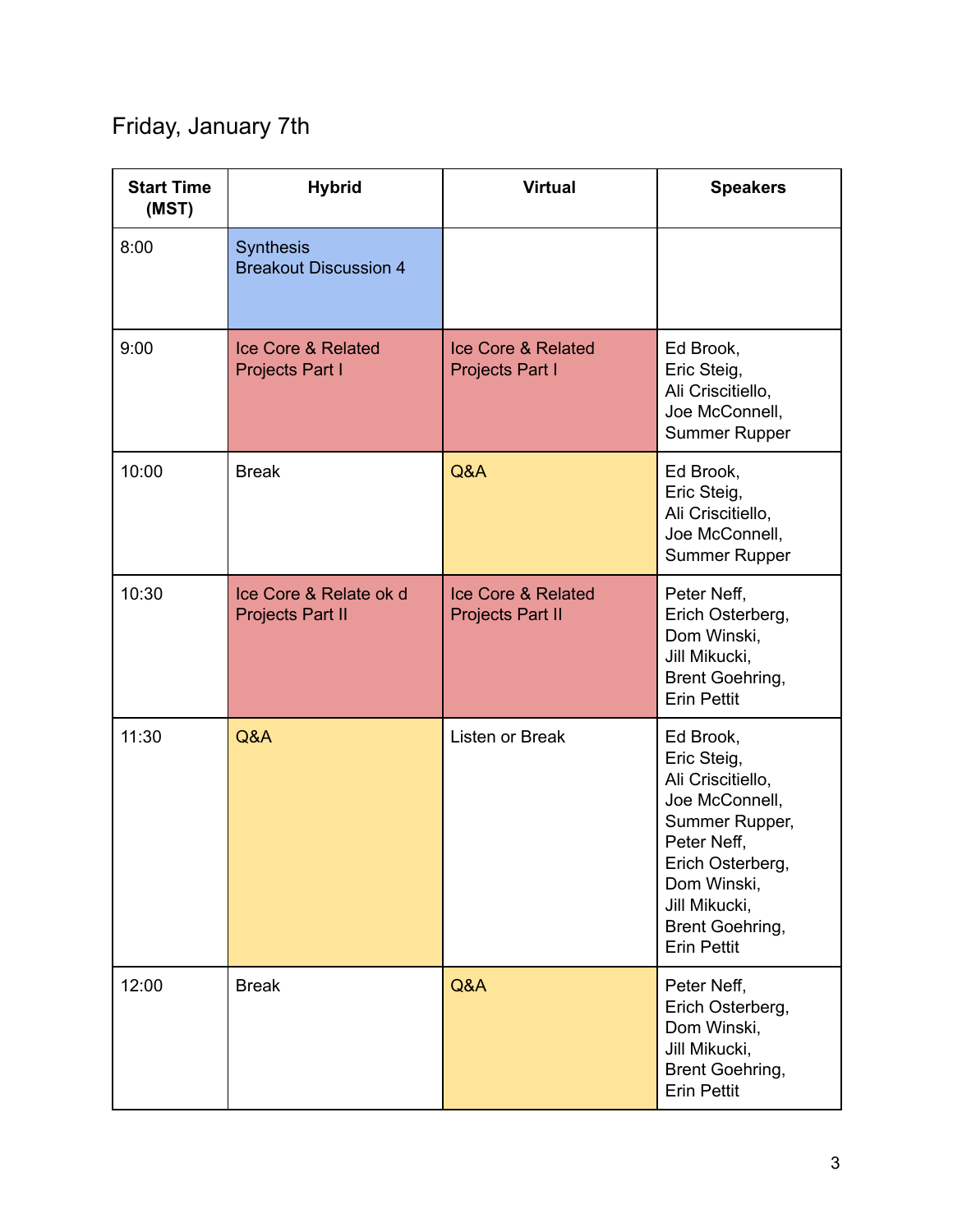## Friday, January 7th

| <b>Start Time</b><br>(MST) | <b>Hybrid</b>                                           | <b>Virtual</b>                                           | <b>Speakers</b>                                                                                                                                                                               |
|----------------------------|---------------------------------------------------------|----------------------------------------------------------|-----------------------------------------------------------------------------------------------------------------------------------------------------------------------------------------------|
| 8:00                       | <b>Synthesis</b><br><b>Breakout Discussion 4</b>        |                                                          |                                                                                                                                                                                               |
| 9:00                       | <b>Ice Core &amp; Related</b><br><b>Projects Part I</b> | <b>Ice Core &amp; Related</b><br><b>Projects Part I</b>  | Ed Brook,<br>Eric Steig,<br>Ali Criscitiello,<br>Joe McConnell,<br><b>Summer Rupper</b>                                                                                                       |
| 10:00                      | <b>Break</b>                                            | Q&A                                                      | Ed Brook,<br>Eric Steig,<br>Ali Criscitiello,<br>Joe McConnell,<br><b>Summer Rupper</b>                                                                                                       |
| 10:30                      | Ice Core & Relate ok d<br><b>Projects Part II</b>       | <b>Ice Core &amp; Related</b><br><b>Projects Part II</b> | Peter Neff,<br>Erich Osterberg,<br>Dom Winski,<br>Jill Mikucki,<br>Brent Goehring,<br><b>Erin Pettit</b>                                                                                      |
| 11:30                      | Q&A                                                     | Listen or Break                                          | Ed Brook,<br>Eric Steig,<br>Ali Criscitiello,<br>Joe McConnell,<br>Summer Rupper,<br>Peter Neff,<br>Erich Osterberg,<br>Dom Winski,<br>Jill Mikucki,<br>Brent Goehring,<br><b>Erin Pettit</b> |
| 12:00                      | <b>Break</b>                                            | Q&A                                                      | Peter Neff,<br>Erich Osterberg,<br>Dom Winski,<br>Jill Mikucki,<br>Brent Goehring,<br><b>Erin Pettit</b>                                                                                      |